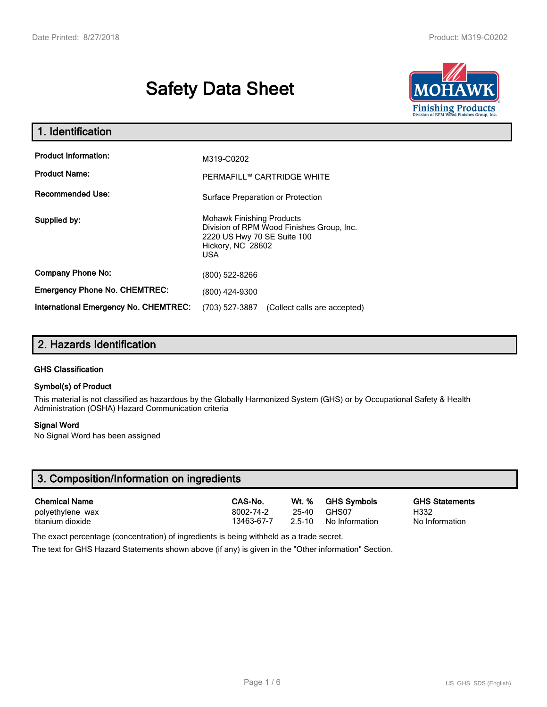# Safety Data Sheet



| . Identification                                    |                                                                                                                                          |
|-----------------------------------------------------|------------------------------------------------------------------------------------------------------------------------------------------|
| <b>Product Information:</b><br><b>Product Name:</b> | M319-C0202<br>PERMAFILL™ CARTRIDGE WHITE                                                                                                 |
| <b>Recommended Use:</b>                             | Surface Preparation or Protection                                                                                                        |
| Supplied by:                                        | <b>Mohawk Finishing Products</b><br>Division of RPM Wood Finishes Group, Inc.<br>2220 US Hwy 70 SE Suite 100<br>Hickory, NC 28602<br>USA |
| <b>Company Phone No:</b>                            | (800) 522-8266                                                                                                                           |
| <b>Emergency Phone No. CHEMTREC:</b>                | (800) 424-9300                                                                                                                           |
| <b>International Emergency No. CHEMTREC:</b>        | (703) 527-3887<br>(Collect calls are accepted)                                                                                           |

# 2. Hazards Identification

### GHS Classification

### Symbol(s) of Product

This material is not classified as hazardous by the Globally Harmonized System (GHS) or by Occupational Safety & Health Administration (OSHA) Hazard Communication criteria

### Signal Word

No Signal Word has been assigned

| 3. Composition/Information on ingredients |            |            |                    |                       |
|-------------------------------------------|------------|------------|--------------------|-----------------------|
| <b>Chemical Name</b>                      | CAS-No.    | Wt. %      | <b>GHS Symbols</b> | <b>GHS Statements</b> |
| polyethylene wax                          | 8002-74-2  | 25-40      | GHS07              | H332                  |
| titanium dioxide                          | 13463-67-7 | $2.5 - 10$ | No Information     | No Information        |

The exact percentage (concentration) of ingredients is being withheld as a trade secret.

The text for GHS Hazard Statements shown above (if any) is given in the "Other information" Section.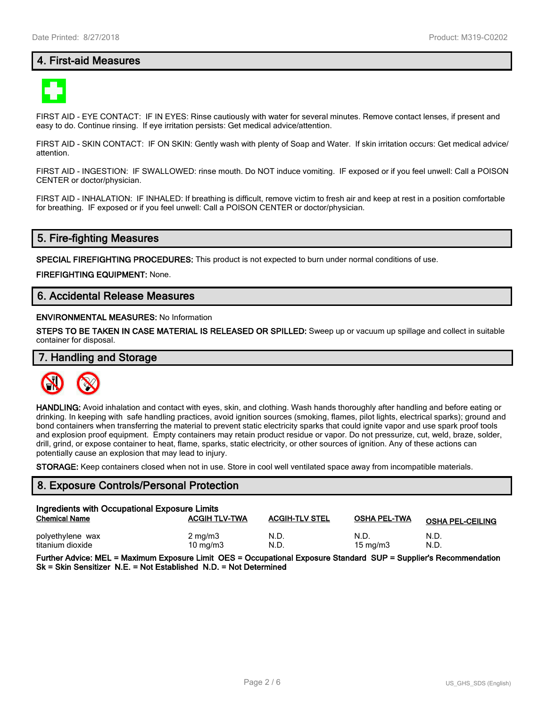## 4. First-aid Measures



FIRST AID - EYE CONTACT: IF IN EYES: Rinse cautiously with water for several minutes. Remove contact lenses, if present and easy to do. Continue rinsing. If eye irritation persists: Get medical advice/attention.

FIRST AID - SKIN CONTACT: IF ON SKIN: Gently wash with plenty of Soap and Water. If skin irritation occurs: Get medical advice/ attention.

FIRST AID - INGESTION: IF SWALLOWED: rinse mouth. Do NOT induce vomiting. IF exposed or if you feel unwell: Call a POISON CENTER or doctor/physician.

FIRST AID - INHALATION: IF INHALED: If breathing is difficult, remove victim to fresh air and keep at rest in a position comfortable for breathing. IF exposed or if you feel unwell: Call a POISON CENTER or doctor/physician.

### 5. Fire-fighting Measures

SPECIAL FIREFIGHTING PROCEDURES: This product is not expected to burn under normal conditions of use.

FIREFIGHTING EQUIPMENT: None.

## 6. Accidental Release Measures

### ENVIRONMENTAL MEASURES: No Information

STEPS TO BE TAKEN IN CASE MATERIAL IS RELEASED OR SPILLED: Sweep up or vacuum up spillage and collect in suitable container for disposal.

### 7. Handling and Storage



HANDLING: Avoid inhalation and contact with eyes, skin, and clothing. Wash hands thoroughly after handling and before eating or drinking. In keeping with safe handling practices, avoid ignition sources (smoking, flames, pilot lights, electrical sparks); ground and bond containers when transferring the material to prevent static electricity sparks that could ignite vapor and use spark proof tools and explosion proof equipment. Empty containers may retain product residue or vapor. Do not pressurize, cut, weld, braze, solder, drill, grind, or expose container to heat, flame, sparks, static electricity, or other sources of ignition. Any of these actions can potentially cause an explosion that may lead to injury.

STORAGE: Keep containers closed when not in use. Store in cool well ventilated space away from incompatible materials.

### 8. Exposure Controls/Personal Protection

| Ingredients with Occupational Exposure Limits |                                |                       |                     |                         |
|-----------------------------------------------|--------------------------------|-----------------------|---------------------|-------------------------|
| <b>Chemical Name</b>                          | <b>ACGIH TLV-TWA</b>           | <b>ACGIH-TLV STEL</b> | <b>OSHA PEL-TWA</b> | <b>OSHA PEL-CEILING</b> |
| polyethylene wax<br>titanium dioxide          | $2 \text{ mg/m}$<br>10 $mq/m3$ | N.D.<br>N.D.          | N.D.<br>15 mg/m $3$ | N.D.<br>N.D.            |

Further Advice: MEL = Maximum Exposure Limit OES = Occupational Exposure Standard SUP = Supplier's Recommendation Sk = Skin Sensitizer N.E. = Not Established N.D. = Not Determined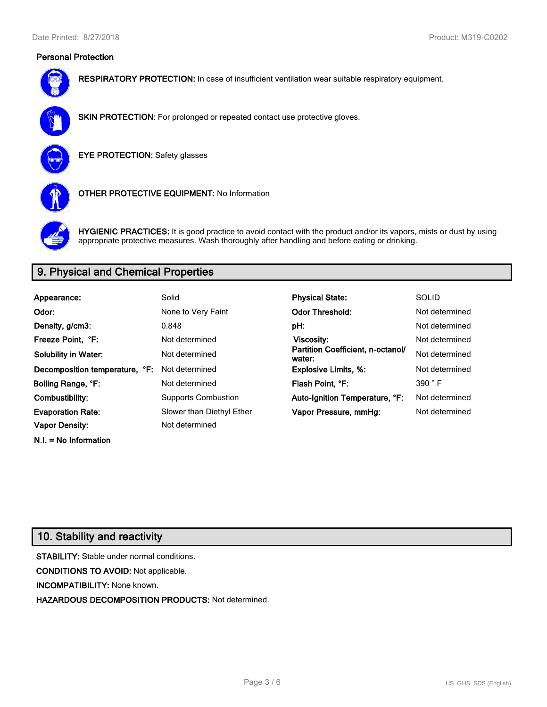### Personal Protection



RESPIRATORY PROTECTION: In case of insufficient ventilation wear suitable respiratory equipment.



SKIN PROTECTION: For prolonged or repeated contact use protective gloves.



EYE PROTECTION: Safety glasses



OTHER PROTECTIVE EQUIPMENT: No Information



HYGIENIC PRACTICES: It is good practice to avoid contact with the product and/or its vapors, mists or dust by using appropriate protective measures. Wash thoroughly after handling and before eating or drinking.

# 9. Physical and Chemical Properties

| Appearance:                    | Solid                      | <b>Physical State:</b>                      | <b>SOLID</b>   |
|--------------------------------|----------------------------|---------------------------------------------|----------------|
| Odor:                          | None to Very Faint         | <b>Odor Threshold:</b>                      | Not determined |
| Density, g/cm3:                | 0.848                      | pH:                                         | Not determined |
| Freeze Point. °F:              | Not determined             | <b>Viscosity:</b>                           | Not determined |
| <b>Solubility in Water:</b>    | Not determined             | Partition Coefficient, n-octanol/<br>water: | Not determined |
| Decomposition temperature, °F: | Not determined             | <b>Explosive Limits, %:</b>                 | Not determined |
| Boiling Range, °F:             | Not determined             | Flash Point, °F:                            | 390 °F         |
| Combustibility:                | <b>Supports Combustion</b> | Auto-Ignition Temperature, °F:              | Not determined |
| <b>Evaporation Rate:</b>       | Slower than Diethyl Ether  | Vapor Pressure, mmHg:                       | Not determined |
| <b>Vapor Density:</b>          | Not determined             |                                             |                |

# 10. Stability and reactivity

N.I. = No Information

STABILITY: Stable under normal conditions. CONDITIONS TO AVOID: Not applicable. INCOMPATIBILITY: None known. HAZARDOUS DECOMPOSITION PRODUCTS: Not determined.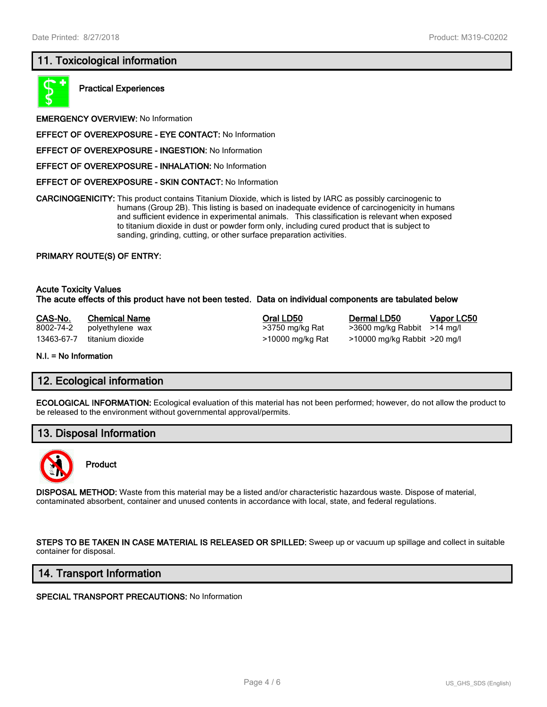# 11. Toxicological information



Practical Experiences

EMERGENCY OVERVIEW: No Information

- EFFECT OF OVEREXPOSURE EYE CONTACT: No Information
- EFFECT OF OVEREXPOSURE INGESTION: No Information
- EFFECT OF OVEREXPOSURE INHALATION: No Information
- EFFECT OF OVEREXPOSURE SKIN CONTACT: No Information

CARCINOGENICITY: This product contains Titanium Dioxide, which is listed by IARC as possibly carcinogenic to humans (Group 2B). This listing is based on inadequate evidence of carcinogenicity in humans and sufficient evidence in experimental animals. This classification is relevant when exposed to titanium dioxide in dust or powder form only, including cured product that is subject to sanding, grinding, cutting, or other surface preparation activities.

### PRIMARY ROUTE(S) OF ENTRY:

Acute Toxicity Values The acute effects of this product have not been tested. Data on individual components are tabulated below

| CAS-No.    | <b>Chemical Name</b> | Oral LD50        | Dermal LD50                  | Vapor LC50 |
|------------|----------------------|------------------|------------------------------|------------|
| 8002-74-2  | polyethylene wax     | >3750 mg/kg Rat  | >3600 mg/kg Rabbit >14 mg/l  |            |
| 13463-67-7 | titanium dioxide     | >10000 mg/kg Rat | >10000 mg/kg Rabbit >20 mg/l |            |

N.I. = No Information

### 12. Ecological information

ECOLOGICAL INFORMATION: Ecological evaluation of this material has not been performed; however, do not allow the product to be released to the environment without governmental approval/permits.

### 13. Disposal Information



### Product

DISPOSAL METHOD: Waste from this material may be a listed and/or characteristic hazardous waste. Dispose of material, contaminated absorbent, container and unused contents in accordance with local, state, and federal regulations.

STEPS TO BE TAKEN IN CASE MATERIAL IS RELEASED OR SPILLED: Sweep up or vacuum up spillage and collect in suitable container for disposal.

### 14. Transport Information

SPECIAL TRANSPORT PRECAUTIONS: No Information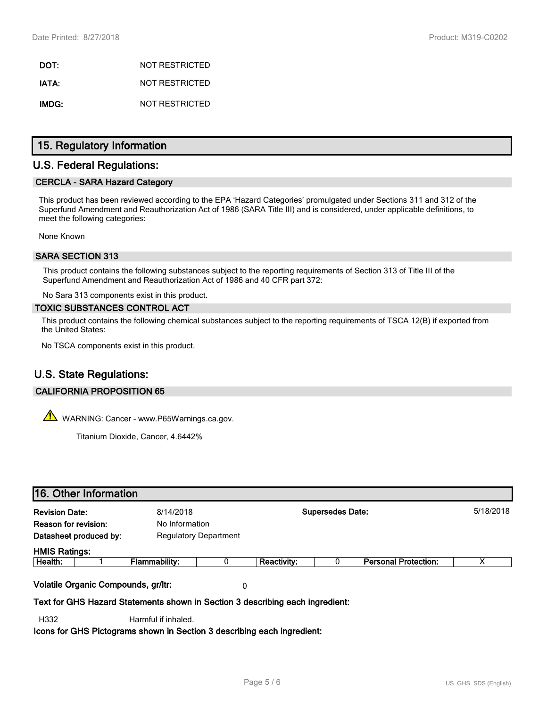DOT: NOT RESTRICTED IATA: NOT RESTRICTED IMDG: NOT RESTRICTED

## 15. Regulatory Information

## U.S. Federal Regulations:

### CERCLA - SARA Hazard Category

This product has been reviewed according to the EPA 'Hazard Categories' promulgated under Sections 311 and 312 of the Superfund Amendment and Reauthorization Act of 1986 (SARA Title III) and is considered, under applicable definitions, to meet the following categories:

None Known

### SARA SECTION 313

This product contains the following substances subject to the reporting requirements of Section 313 of Title III of the Superfund Amendment and Reauthorization Act of 1986 and 40 CFR part 372:

No Sara 313 components exist in this product.

### TOXIC SUBSTANCES CONTROL ACT

This product contains the following chemical substances subject to the reporting requirements of TSCA 12(B) if exported from the United States:

No TSCA components exist in this product.

# U.S. State Regulations:

### CALIFORNIA PROPOSITION 65

 $\mathbb{A}$  WARNING: Cancer - www.P65Warnings.ca.gov.

Titanium Dioxide, Cancer, 4.6442%

|                       | 16. Other Information               |                                                                               |                              |                    |                         |                             |           |
|-----------------------|-------------------------------------|-------------------------------------------------------------------------------|------------------------------|--------------------|-------------------------|-----------------------------|-----------|
| <b>Revision Date:</b> |                                     | 8/14/2018                                                                     |                              |                    | <b>Supersedes Date:</b> |                             | 5/18/2018 |
| Reason for revision:  |                                     | No Information                                                                |                              |                    |                         |                             |           |
|                       | Datasheet produced by:              |                                                                               | <b>Regulatory Department</b> |                    |                         |                             |           |
| <b>HMIS Ratings:</b>  |                                     |                                                                               |                              |                    |                         |                             |           |
| Health:               |                                     | <b>Flammability:</b>                                                          | 0                            | <b>Reactivity:</b> |                         | <b>Personal Protection:</b> | х         |
|                       | Volatile Organic Compounds, gr/ltr: |                                                                               | 0                            |                    |                         |                             |           |
|                       |                                     | Text for GHS Hazard Statements shown in Section 3 describing each ingredient: |                              |                    |                         |                             |           |
| H332                  |                                     | Harmful if inhaled.                                                           |                              |                    |                         |                             |           |

Icons for GHS Pictograms shown in Section 3 describing each ingredient: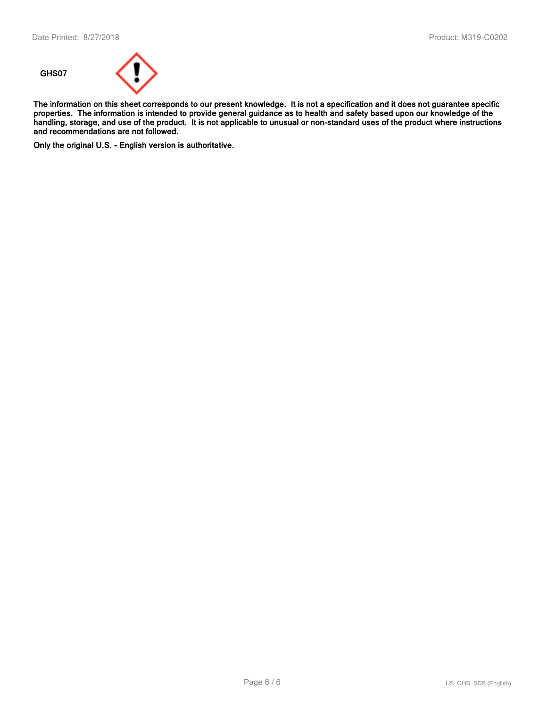

The information on this sheet corresponds to our present knowledge. It is not a specification and it does not guarantee specific properties. The information is intended to provide general guidance as to health and safety based upon our knowledge of the handling, storage, and use of the product. It is not applicable to unusual or non-standard uses of the product where instructions and recommendations are not followed.

Only the original U.S. - English version is authoritative.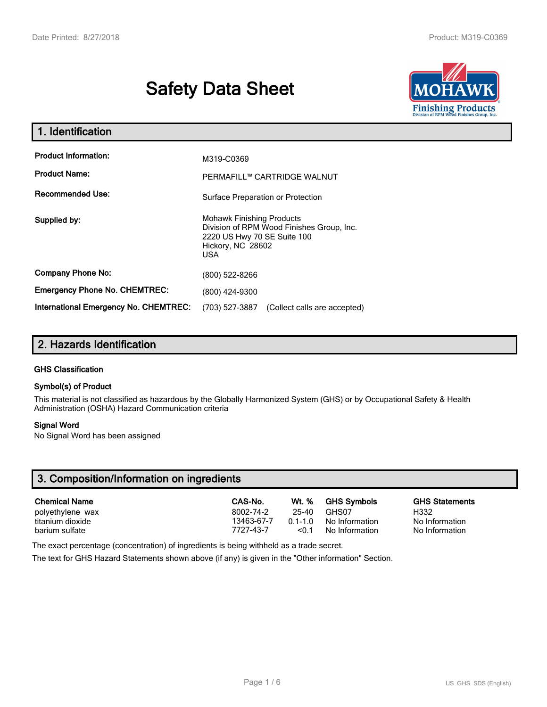# Safety Data Sheet



| 1. Identification                            |                                                                                                                                                 |
|----------------------------------------------|-------------------------------------------------------------------------------------------------------------------------------------------------|
| <b>Product Information:</b>                  | M319-C0369                                                                                                                                      |
| <b>Product Name:</b>                         | PERMAFILL™ CARTRIDGE WALNUT                                                                                                                     |
| <b>Recommended Use:</b>                      | Surface Preparation or Protection                                                                                                               |
| Supplied by:                                 | <b>Mohawk Finishing Products</b><br>Division of RPM Wood Finishes Group, Inc.<br>2220 US Hwy 70 SE Suite 100<br>Hickory, NC 28602<br><b>USA</b> |
| <b>Company Phone No:</b>                     | (800) 522-8266                                                                                                                                  |
| <b>Emergency Phone No. CHEMTREC:</b>         | (800) 424-9300                                                                                                                                  |
| <b>International Emergency No. CHEMTREC:</b> | (703) 527-3887<br>(Collect calls are accepted)                                                                                                  |

# 2. Hazards Identification

### GHS Classification

### Symbol(s) of Product

This material is not classified as hazardous by the Globally Harmonized System (GHS) or by Occupational Safety & Health Administration (OSHA) Hazard Communication criteria

### Signal Word

No Signal Word has been assigned

# 3. Composition/Information on ingredients

| <b>Chemical Name</b> | CAS-No.    | Wt. %     | <b>GHS Symbols</b> | <b>GHS Statements</b> |
|----------------------|------------|-----------|--------------------|-----------------------|
| polyethylene wax     | 8002-74-2  | 25-40     | GHS07              | H332                  |
| titanium dioxide     | 13463-67-7 | $01 - 10$ | No Information     | No Information        |
| barium sulfate       | 7727-43-7  | < 0.1     | No Information     | No Information        |

The exact percentage (concentration) of ingredients is being withheld as a trade secret.

The text for GHS Hazard Statements shown above (if any) is given in the "Other information" Section.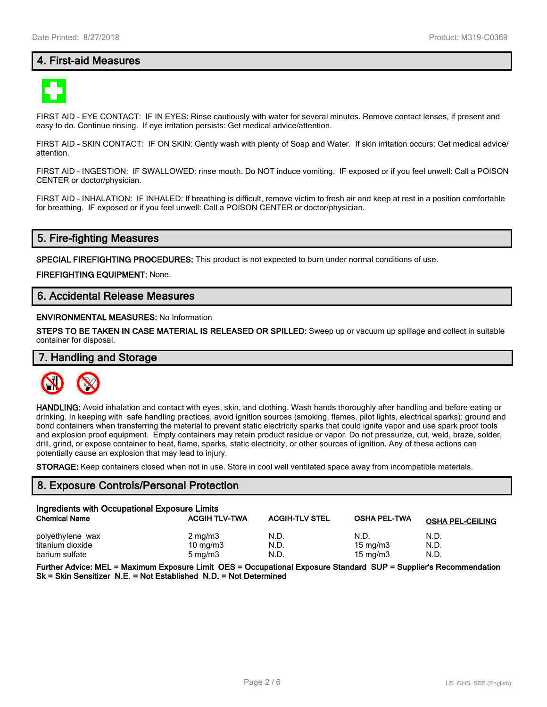## 4. First-aid Measures



FIRST AID - EYE CONTACT: IF IN EYES: Rinse cautiously with water for several minutes. Remove contact lenses, if present and easy to do. Continue rinsing. If eye irritation persists: Get medical advice/attention.

FIRST AID - SKIN CONTACT: IF ON SKIN: Gently wash with plenty of Soap and Water. If skin irritation occurs: Get medical advice/ attention.

FIRST AID - INGESTION: IF SWALLOWED: rinse mouth. Do NOT induce vomiting. IF exposed or if you feel unwell: Call a POISON CENTER or doctor/physician.

FIRST AID - INHALATION: IF INHALED: If breathing is difficult, remove victim to fresh air and keep at rest in a position comfortable for breathing. IF exposed or if you feel unwell: Call a POISON CENTER or doctor/physician.

### 5. Fire-fighting Measures

SPECIAL FIREFIGHTING PROCEDURES: This product is not expected to burn under normal conditions of use.

FIREFIGHTING EQUIPMENT: None.

## 6. Accidental Release Measures

### ENVIRONMENTAL MEASURES: No Information

STEPS TO BE TAKEN IN CASE MATERIAL IS RELEASED OR SPILLED: Sweep up or vacuum up spillage and collect in suitable container for disposal.

### 7. Handling and Storage



HANDLING: Avoid inhalation and contact with eyes, skin, and clothing. Wash hands thoroughly after handling and before eating or drinking. In keeping with safe handling practices, avoid ignition sources (smoking, flames, pilot lights, electrical sparks); ground and bond containers when transferring the material to prevent static electricity sparks that could ignite vapor and use spark proof tools and explosion proof equipment. Empty containers may retain product residue or vapor. Do not pressurize, cut, weld, braze, solder, drill, grind, or expose container to heat, flame, sparks, static electricity, or other sources of ignition. Any of these actions can potentially cause an explosion that may lead to injury.

STORAGE: Keep containers closed when not in use. Store in cool well ventilated space away from incompatible materials.

### 8. Exposure Controls/Personal Protection

| Ingredients with Occupational Exposure Limits |                      |                       |                     |                         |
|-----------------------------------------------|----------------------|-----------------------|---------------------|-------------------------|
| <b>Chemical Name</b>                          | <b>ACGIH TLV-TWA</b> | <b>ACGIH-TLV STEL</b> | <b>OSHA PEL-TWA</b> | <b>OSHA PEL-CEILING</b> |
| polyethylene wax                              | $2 \text{ mg/m}$     | N.D.                  | N.D.                | N.D.                    |
| titanium dioxide                              | $10 \text{ mg/m}$    | N.D.                  | 15 mg/m $3$         | N.D.                    |
| barium sulfate                                | $5 \text{ mg/m}$     | N.D.                  | 15 mg/m $3$         | N.D.                    |

Further Advice: MEL = Maximum Exposure Limit OES = Occupational Exposure Standard SUP = Supplier's Recommendation Sk = Skin Sensitizer N.E. = Not Established N.D. = Not Determined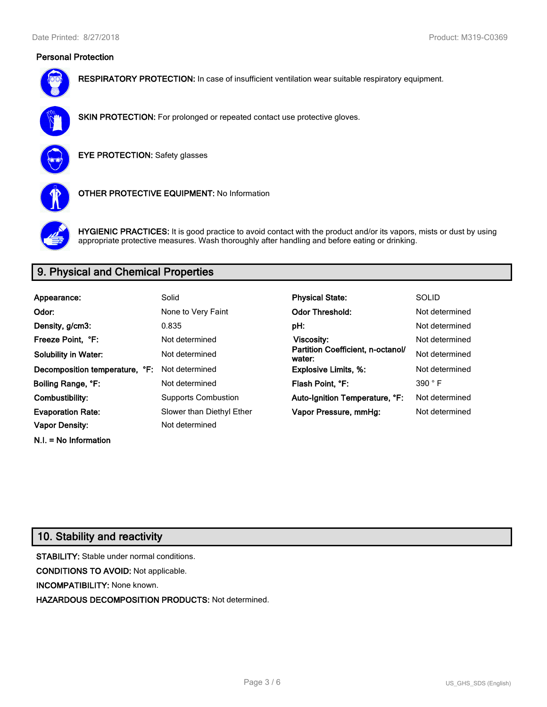### Personal Protection



RESPIRATORY PROTECTION: In case of insufficient ventilation wear suitable respiratory equipment.



SKIN PROTECTION: For prolonged or repeated contact use protective gloves.



EYE PROTECTION: Safety glasses



OTHER PROTECTIVE EQUIPMENT: No Information



HYGIENIC PRACTICES: It is good practice to avoid contact with the product and/or its vapors, mists or dust by using appropriate protective measures. Wash thoroughly after handling and before eating or drinking.

# 9. Physical and Chemical Properties

| Appearance:                    | Solid                      | <b>Physical State:</b>                      | <b>SOLID</b>   |
|--------------------------------|----------------------------|---------------------------------------------|----------------|
| Odor:                          | None to Very Faint         | <b>Odor Threshold:</b>                      | Not determined |
| Density, g/cm3:                | 0.835                      | pH:                                         | Not determined |
| Freeze Point. °F:              | Not determined             | Viscosity:                                  | Not determined |
| <b>Solubility in Water:</b>    | Not determined             | Partition Coefficient, n-octanol/<br>water: | Not determined |
| Decomposition temperature, °F: | Not determined             | <b>Explosive Limits, %:</b>                 | Not determined |
| Boiling Range, °F:             | Not determined             | Flash Point, °F:                            | 390 °F         |
| Combustibility:                | <b>Supports Combustion</b> | Auto-Ignition Temperature, °F:              | Not determined |
| <b>Evaporation Rate:</b>       | Slower than Diethyl Ether  | Vapor Pressure, mmHg:                       | Not determined |
| <b>Vapor Density:</b>          | Not determined             |                                             |                |

# 10. Stability and reactivity

N.I. = No Information

STABILITY: Stable under normal conditions. CONDITIONS TO AVOID: Not applicable. INCOMPATIBILITY: None known. HAZARDOUS DECOMPOSITION PRODUCTS: Not determined.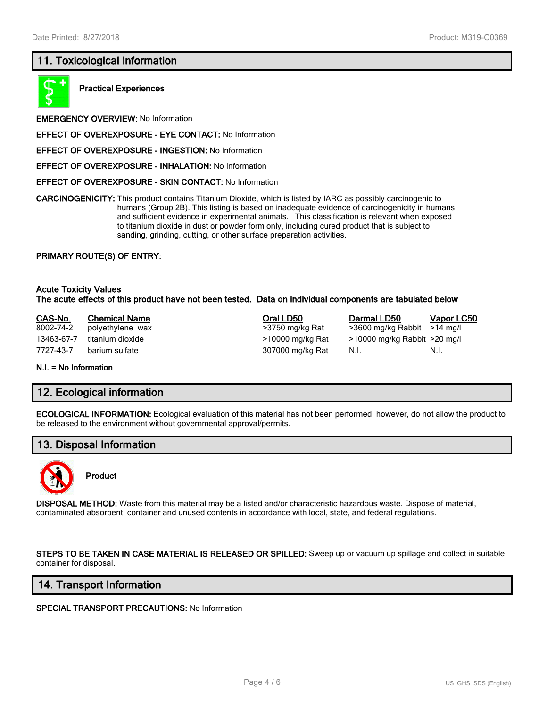# 11. Toxicological information



Practical Experiences

EMERGENCY OVERVIEW: No Information

- EFFECT OF OVEREXPOSURE EYE CONTACT: No Information
- EFFECT OF OVEREXPOSURE INGESTION: No Information
- EFFECT OF OVEREXPOSURE INHALATION: No Information
- EFFECT OF OVEREXPOSURE SKIN CONTACT: No Information

CARCINOGENICITY: This product contains Titanium Dioxide, which is listed by IARC as possibly carcinogenic to humans (Group 2B). This listing is based on inadequate evidence of carcinogenicity in humans and sufficient evidence in experimental animals. This classification is relevant when exposed to titanium dioxide in dust or powder form only, including cured product that is subject to sanding, grinding, cutting, or other surface preparation activities.

### PRIMARY ROUTE(S) OF ENTRY:

### Acute Toxicity Values The acute effects of this product have not been tested. Data on individual components are tabulated below

| CAS-No.    | <b>Chemical Name</b> | Oral LD50        | Dermal LD50                      | <b>Vapor LC50</b> |
|------------|----------------------|------------------|----------------------------------|-------------------|
| 8002-74-2  | polyethylene wax     | >3750 mg/kg Rat  | $>3600$ mg/kg Rabbit $>14$ mg/l  |                   |
| 13463-67-7 | titanium dioxide     | >10000 mg/kg Rat | $>10000$ mg/kg Rabbit $>20$ mg/l |                   |
| 7727-43-7  | barium sulfate       | 307000 mg/kg Rat | N.I.                             | N.I.              |
|            |                      |                  |                                  |                   |

#### N.I. = No Information

### 12. Ecological information

ECOLOGICAL INFORMATION: Ecological evaluation of this material has not been performed; however, do not allow the product to be released to the environment without governmental approval/permits.

### 13. Disposal Information



### Product

DISPOSAL METHOD: Waste from this material may be a listed and/or characteristic hazardous waste. Dispose of material, contaminated absorbent, container and unused contents in accordance with local, state, and federal regulations.

STEPS TO BE TAKEN IN CASE MATERIAL IS RELEASED OR SPILLED: Sweep up or vacuum up spillage and collect in suitable container for disposal.

### 14. Transport Information

### SPECIAL TRANSPORT PRECAUTIONS: No Information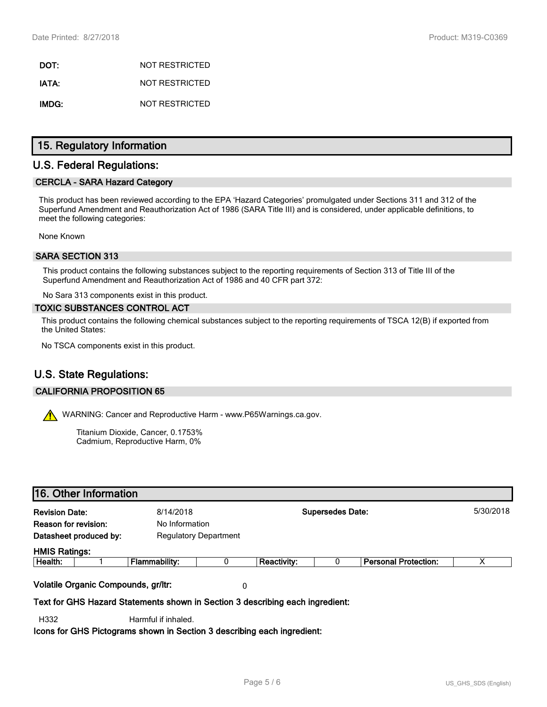DOT: NOT RESTRICTED IATA: NOT RESTRICTED IMDG: NOT RESTRICTED

## 15. Regulatory Information

## U.S. Federal Regulations:

### CERCLA - SARA Hazard Category

This product has been reviewed according to the EPA 'Hazard Categories' promulgated under Sections 311 and 312 of the Superfund Amendment and Reauthorization Act of 1986 (SARA Title III) and is considered, under applicable definitions, to meet the following categories:

None Known

### SARA SECTION 313

This product contains the following substances subject to the reporting requirements of Section 313 of Title III of the Superfund Amendment and Reauthorization Act of 1986 and 40 CFR part 372:

No Sara 313 components exist in this product.

### TOXIC SUBSTANCES CONTROL ACT

This product contains the following chemical substances subject to the reporting requirements of TSCA 12(B) if exported from the United States:

No TSCA components exist in this product.

# U.S. State Regulations:

### CALIFORNIA PROPOSITION 65

WARNING: Cancer and Reproductive Harm - www.P65Warnings.ca.gov.

Titanium Dioxide, Cancer, 0.1753% Cadmium, Reproductive Harm, 0%

## 16. Other Information

| х |
|---|

Text for GHS Hazard Statements shown in Section 3 describing each ingredient:

H332 Harmful if inhaled.

Icons for GHS Pictograms shown in Section 3 describing each ingredient: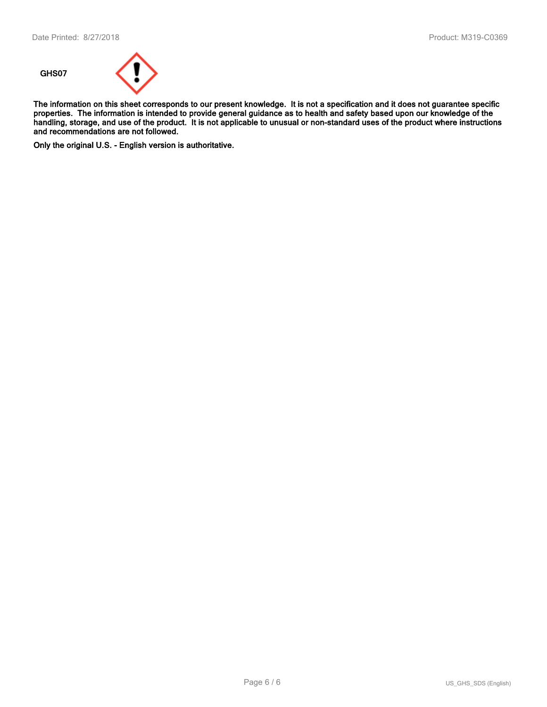

The information on this sheet corresponds to our present knowledge. It is not a specification and it does not guarantee specific properties. The information is intended to provide general guidance as to health and safety based upon our knowledge of the handling, storage, and use of the product. It is not applicable to unusual or non-standard uses of the product where instructions and recommendations are not followed.

Only the original U.S. - English version is authoritative.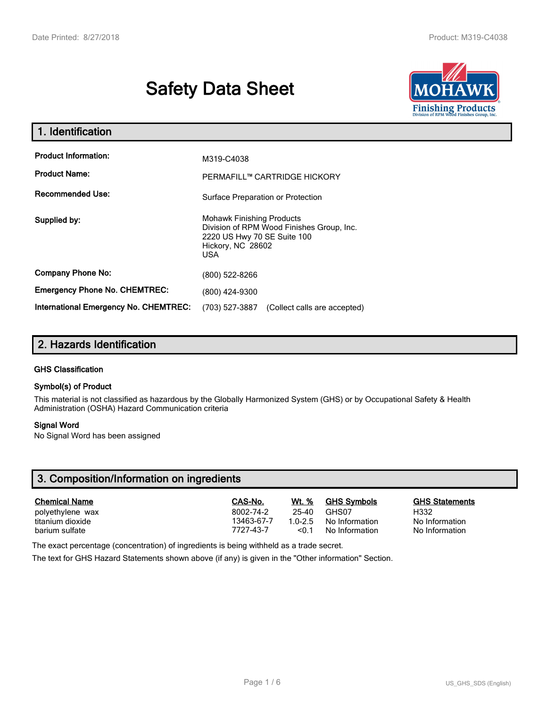# Safety Data Sheet



| 1. Identification                            |                                                                                                                                           |
|----------------------------------------------|-------------------------------------------------------------------------------------------------------------------------------------------|
| <b>Product Information:</b>                  | M319-C4038                                                                                                                                |
| <b>Product Name:</b>                         | PERMAFILL™ CARTRIDGE HICKORY                                                                                                              |
| <b>Recommended Use:</b>                      | Surface Preparation or Protection                                                                                                         |
| Supplied by:                                 | <b>Mohawk Finishing Products</b><br>Division of RPM Wood Finishes Group, Inc.<br>2220 US Hwy 70 SE Suite 100<br>Hickory, NC 28602<br>USA. |
| <b>Company Phone No:</b>                     | (800) 522-8266                                                                                                                            |
| <b>Emergency Phone No. CHEMTREC:</b>         | (800) 424-9300                                                                                                                            |
| <b>International Emergency No. CHEMTREC:</b> | (703) 527-3887<br>(Collect calls are accepted)                                                                                            |

# 2. Hazards Identification

### GHS Classification

### Symbol(s) of Product

This material is not classified as hazardous by the Globally Harmonized System (GHS) or by Occupational Safety & Health Administration (OSHA) Hazard Communication criteria

### Signal Word

No Signal Word has been assigned

# 3. Composition/Information on ingredients

| <b>Chemical Name</b> | CAS-No.    | <b>Wt.</b> % | <b>GHS Symbols</b> | <b>GHS Statements</b> |
|----------------------|------------|--------------|--------------------|-----------------------|
| polyethylene wax     | 8002-74-2  | 25-40        | GHS07              | H332                  |
| titanium dioxide     | 13463-67-7 | $10-25$      | No Information     | No Information        |
| barium sulfate       | 7727-43-7  | < 0.1        | No Information     | No Information        |

The exact percentage (concentration) of ingredients is being withheld as a trade secret.

The text for GHS Hazard Statements shown above (if any) is given in the "Other information" Section.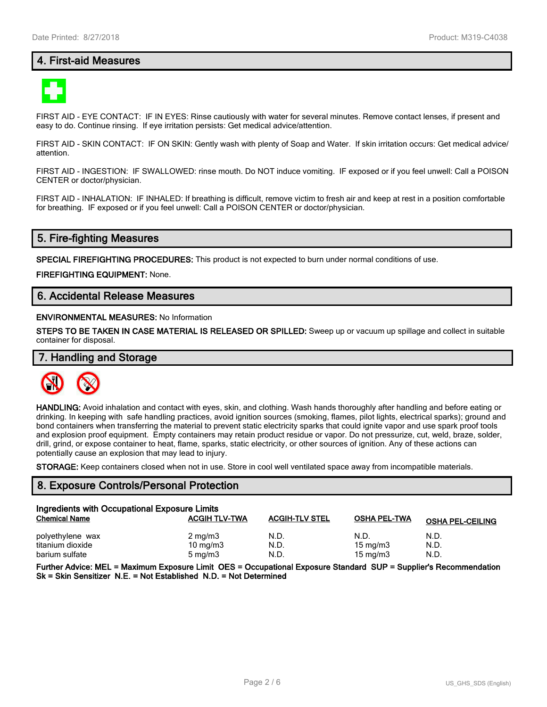## 4. First-aid Measures



FIRST AID - EYE CONTACT: IF IN EYES: Rinse cautiously with water for several minutes. Remove contact lenses, if present and easy to do. Continue rinsing. If eye irritation persists: Get medical advice/attention.

FIRST AID - SKIN CONTACT: IF ON SKIN: Gently wash with plenty of Soap and Water. If skin irritation occurs: Get medical advice/ attention.

FIRST AID - INGESTION: IF SWALLOWED: rinse mouth. Do NOT induce vomiting. IF exposed or if you feel unwell: Call a POISON CENTER or doctor/physician.

FIRST AID - INHALATION: IF INHALED: If breathing is difficult, remove victim to fresh air and keep at rest in a position comfortable for breathing. IF exposed or if you feel unwell: Call a POISON CENTER or doctor/physician.

### 5. Fire-fighting Measures

SPECIAL FIREFIGHTING PROCEDURES: This product is not expected to burn under normal conditions of use.

FIREFIGHTING EQUIPMENT: None.

## 6. Accidental Release Measures

### ENVIRONMENTAL MEASURES: No Information

STEPS TO BE TAKEN IN CASE MATERIAL IS RELEASED OR SPILLED: Sweep up or vacuum up spillage and collect in suitable container for disposal.

### 7. Handling and Storage



HANDLING: Avoid inhalation and contact with eyes, skin, and clothing. Wash hands thoroughly after handling and before eating or drinking. In keeping with safe handling practices, avoid ignition sources (smoking, flames, pilot lights, electrical sparks); ground and bond containers when transferring the material to prevent static electricity sparks that could ignite vapor and use spark proof tools and explosion proof equipment. Empty containers may retain product residue or vapor. Do not pressurize, cut, weld, braze, solder, drill, grind, or expose container to heat, flame, sparks, static electricity, or other sources of ignition. Any of these actions can potentially cause an explosion that may lead to injury.

STORAGE: Keep containers closed when not in use. Store in cool well ventilated space away from incompatible materials.

### 8. Exposure Controls/Personal Protection

| Ingredients with Occupational Exposure Limits |                      |                       |                     |                         |
|-----------------------------------------------|----------------------|-----------------------|---------------------|-------------------------|
| <b>Chemical Name</b>                          | <b>ACGIH TLV-TWA</b> | <b>ACGIH-TLV STEL</b> | <b>OSHA PEL-TWA</b> | <b>OSHA PEL-CEILING</b> |
| polyethylene wax                              | $2 \text{ mg/m}$     | N.D.                  | N.D.                | N.D.                    |
| titanium dioxide                              | $10 \text{ mg/m}$    | N.D.                  | 15 mg/m $3$         | N.D.                    |
| barium sulfate                                | $5 \text{ mg/m}$     | N.D.                  | 15 mg/m $3$         | N.D.                    |

Further Advice: MEL = Maximum Exposure Limit OES = Occupational Exposure Standard SUP = Supplier's Recommendation Sk = Skin Sensitizer N.E. = Not Established N.D. = Not Determined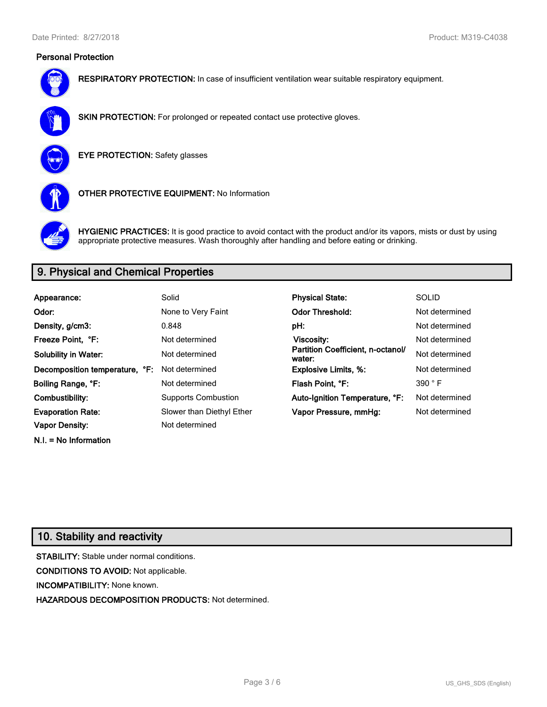### Personal Protection



RESPIRATORY PROTECTION: In case of insufficient ventilation wear suitable respiratory equipment.



SKIN PROTECTION: For prolonged or repeated contact use protective gloves.



EYE PROTECTION: Safety glasses



OTHER PROTECTIVE EQUIPMENT: No Information



HYGIENIC PRACTICES: It is good practice to avoid contact with the product and/or its vapors, mists or dust by using appropriate protective measures. Wash thoroughly after handling and before eating or drinking.

# 9. Physical and Chemical Properties

| Appearance:                    | Solid                      | <b>Physical State:</b>                      | <b>SOLID</b>   |
|--------------------------------|----------------------------|---------------------------------------------|----------------|
| Odor:                          | None to Very Faint         | <b>Odor Threshold:</b>                      | Not determined |
| Density, g/cm3:                | 0.848                      | pH:                                         | Not determined |
| Freeze Point. °F:              | Not determined             | Viscosity:                                  | Not determined |
| <b>Solubility in Water:</b>    | Not determined             | Partition Coefficient, n-octanol/<br>water: | Not determined |
| Decomposition temperature, °F: | Not determined             | <b>Explosive Limits, %:</b>                 | Not determined |
| Boiling Range, °F:             | Not determined             | Flash Point, °F:                            | 390 °F         |
| Combustibility:                | <b>Supports Combustion</b> | Auto-Ignition Temperature, °F:              | Not determined |
| <b>Evaporation Rate:</b>       | Slower than Diethyl Ether  | Vapor Pressure, mmHg:                       | Not determined |
| <b>Vapor Density:</b>          | Not determined             |                                             |                |

# 10. Stability and reactivity

N.I. = No Information

STABILITY: Stable under normal conditions. CONDITIONS TO AVOID: Not applicable. INCOMPATIBILITY: None known. HAZARDOUS DECOMPOSITION PRODUCTS: Not determined.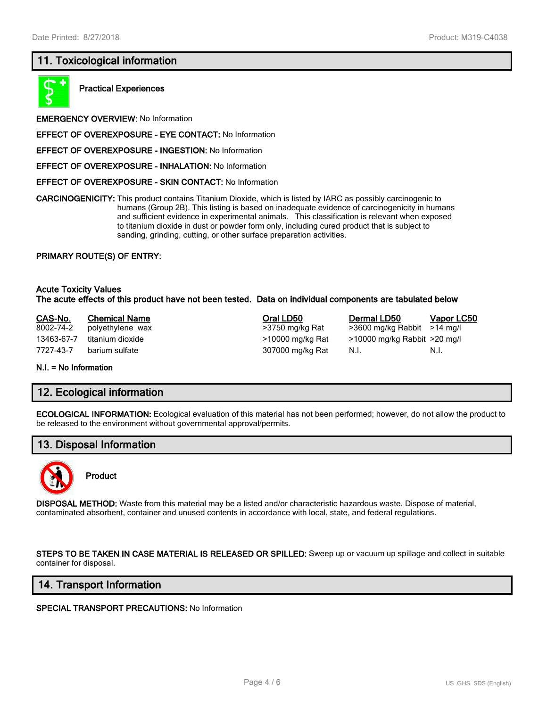# 11. Toxicological information



Practical Experiences

EMERGENCY OVERVIEW: No Information

- EFFECT OF OVEREXPOSURE EYE CONTACT: No Information
- EFFECT OF OVEREXPOSURE INGESTION: No Information
- EFFECT OF OVEREXPOSURE INHALATION: No Information
- EFFECT OF OVEREXPOSURE SKIN CONTACT: No Information

CARCINOGENICITY: This product contains Titanium Dioxide, which is listed by IARC as possibly carcinogenic to humans (Group 2B). This listing is based on inadequate evidence of carcinogenicity in humans and sufficient evidence in experimental animals. This classification is relevant when exposed to titanium dioxide in dust or powder form only, including cured product that is subject to sanding, grinding, cutting, or other surface preparation activities.

### PRIMARY ROUTE(S) OF ENTRY:

### Acute Toxicity Values The acute effects of this product have not been tested. Data on individual components are tabulated below

| CAS-No.    | <b>Chemical Name</b> | Oral LD50        | Dermal LD50                      | <b>Vapor LC50</b> |
|------------|----------------------|------------------|----------------------------------|-------------------|
| 8002-74-2  | polyethylene wax     | >3750 mg/kg Rat  | $>3600$ mg/kg Rabbit $>14$ mg/l  |                   |
| 13463-67-7 | titanium dioxide     | >10000 mg/kg Rat | $>10000$ mg/kg Rabbit $>20$ mg/l |                   |
| 7727-43-7  | barium sulfate       | 307000 mg/kg Rat | N.I.                             | N.I.              |
|            |                      |                  |                                  |                   |

#### N.I. = No Information

### 12. Ecological information

ECOLOGICAL INFORMATION: Ecological evaluation of this material has not been performed; however, do not allow the product to be released to the environment without governmental approval/permits.

### 13. Disposal Information



### Product

DISPOSAL METHOD: Waste from this material may be a listed and/or characteristic hazardous waste. Dispose of material, contaminated absorbent, container and unused contents in accordance with local, state, and federal regulations.

STEPS TO BE TAKEN IN CASE MATERIAL IS RELEASED OR SPILLED: Sweep up or vacuum up spillage and collect in suitable container for disposal.

### 14. Transport Information

### SPECIAL TRANSPORT PRECAUTIONS: No Information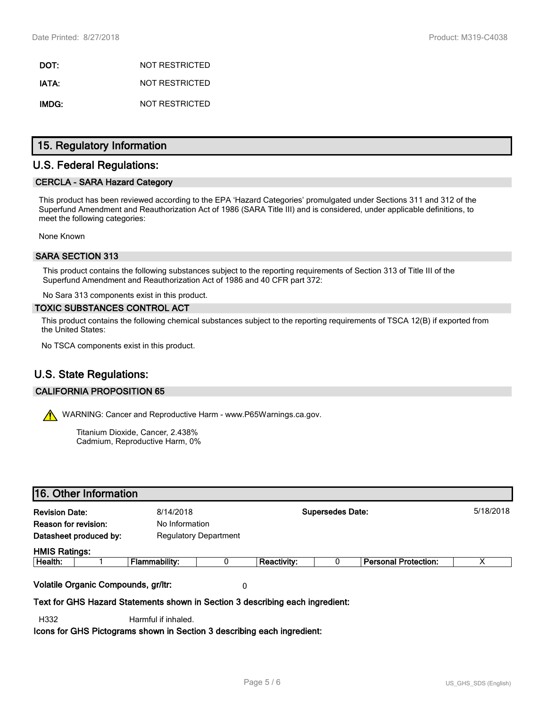DOT: NOT RESTRICTED IATA: NOT RESTRICTED IMDG: NOT RESTRICTED

### 15. Regulatory Information

### U.S. Federal Regulations:

### CERCLA - SARA Hazard Category

This product has been reviewed according to the EPA 'Hazard Categories' promulgated under Sections 311 and 312 of the Superfund Amendment and Reauthorization Act of 1986 (SARA Title III) and is considered, under applicable definitions, to meet the following categories:

None Known

### SARA SECTION 313

This product contains the following substances subject to the reporting requirements of Section 313 of Title III of the Superfund Amendment and Reauthorization Act of 1986 and 40 CFR part 372:

No Sara 313 components exist in this product.

### TOXIC SUBSTANCES CONTROL ACT

This product contains the following chemical substances subject to the reporting requirements of TSCA 12(B) if exported from the United States:

No TSCA components exist in this product.

# U.S. State Regulations:

### CALIFORNIA PROPOSITION 65

WARNING: Cancer and Reproductive Harm - www.P65Warnings.ca.gov.

Titanium Dioxide, Cancer, 2.438% Cadmium, Reproductive Harm, 0%

### 16. Other Information

| <b>Revision Date:</b> |                                     | 8/14/2018      |                              |                    | <b>Supersedes Date:</b> |                             | 5/18/2018 |
|-----------------------|-------------------------------------|----------------|------------------------------|--------------------|-------------------------|-----------------------------|-----------|
| Reason for revision:  |                                     | No Information |                              |                    |                         |                             |           |
|                       | Datasheet produced by:              |                | <b>Regulatory Department</b> |                    |                         |                             |           |
| <b>HMIS Ratings:</b>  |                                     |                |                              |                    |                         |                             |           |
| Health:               |                                     | Flammability:  | 0                            | <b>Reactivity:</b> |                         | <b>Personal Protection:</b> | ⋏         |
|                       | Volatile Organic Compounds, gr/ltr: |                | 0                            |                    |                         |                             |           |
|                       |                                     |                |                              |                    |                         |                             |           |

Text for GHS Hazard Statements shown in Section 3 describing each ingredient:

H332 Harmful if inhaled.

Icons for GHS Pictograms shown in Section 3 describing each ingredient: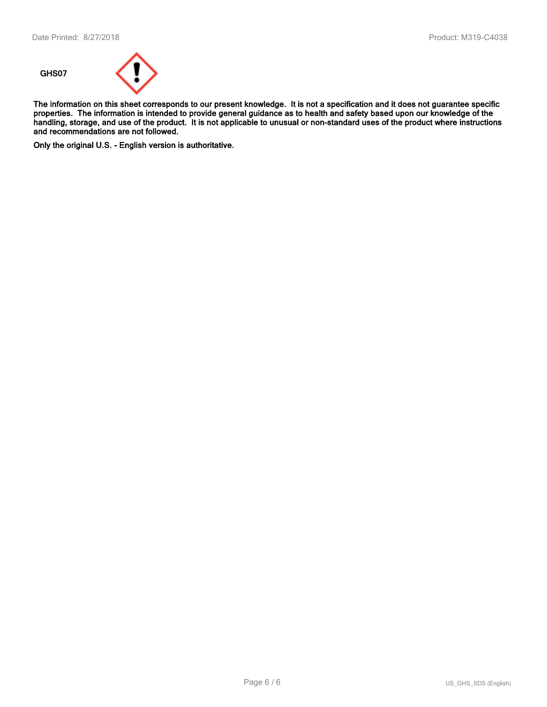

The information on this sheet corresponds to our present knowledge. It is not a specification and it does not guarantee specific properties. The information is intended to provide general guidance as to health and safety based upon our knowledge of the handling, storage, and use of the product. It is not applicable to unusual or non-standard uses of the product where instructions and recommendations are not followed.

Only the original U.S. - English version is authoritative.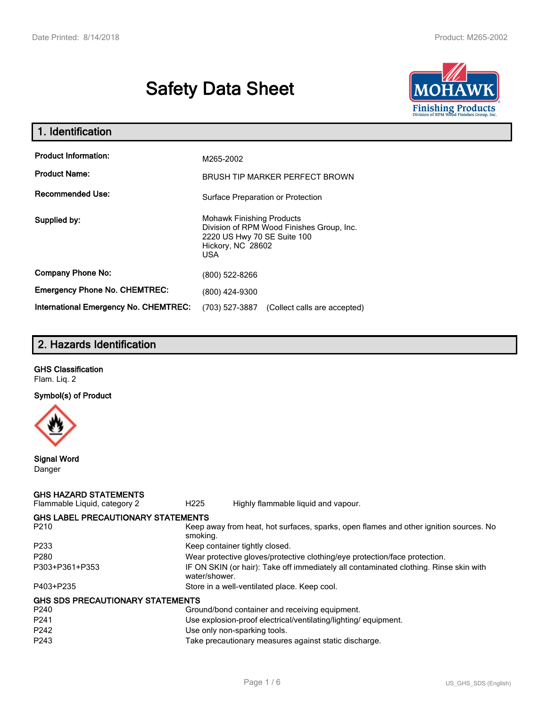# Safety Data Sheet



| 1. Identification                                   |                                                                                                                                          |
|-----------------------------------------------------|------------------------------------------------------------------------------------------------------------------------------------------|
| <b>Product Information:</b><br><b>Product Name:</b> | M265-2002                                                                                                                                |
| <b>Recommended Use:</b>                             | <b>BRUSH TIP MARKER PERFECT BROWN</b>                                                                                                    |
|                                                     | Surface Preparation or Protection                                                                                                        |
| Supplied by:                                        | <b>Mohawk Finishing Products</b><br>Division of RPM Wood Finishes Group, Inc.<br>2220 US Hwy 70 SE Suite 100<br>Hickory, NC 28602<br>USA |
| <b>Company Phone No:</b>                            | (800) 522-8266                                                                                                                           |
| <b>Emergency Phone No. CHEMTREC:</b>                | (800) 424-9300                                                                                                                           |
| <b>International Emergency No. CHEMTREC:</b>        | (703) 527-3887<br>(Collect calls are accepted)                                                                                           |

# 2. Hazards Identification

| <b>GHS Classification</b> |
|---------------------------|
| Flam. Lig. 2              |

Symbol(s) of Product



Signal Word Danger

### GHS HAZARD STATEMENTS Flammable Liquid, category 2 H225 Highly flammable liquid and vapour. GHS LABEL PRECAUTIONARY STATEMENTS P210 **Keep away from heat, hot surfaces, sparks, open flames and other ignition sources. No** smoking. P233 Keep container tightly closed. P280 Wear protective gloves/protective clothing/eye protection/face protection. P303+P361+P353 IF ON SKIN (or hair): Take off immediately all contaminated clothing. Rinse skin with water/shower. P403+P235 Store in a well-ventilated place. Keep cool. GHS SDS PRECAUTIONARY STATEMENTS P240 Ground/bond container and receiving equipment. P241 Use explosion-proof electrical/ventilating/lighting/ equipment. P242 **Use only non-sparking tools.** P243 Take precautionary measures against static discharge.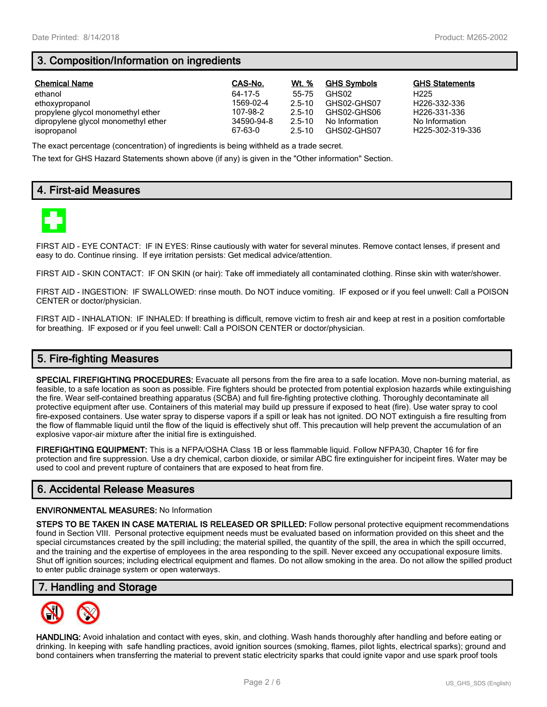# 3. Composition/Information on ingredients

| <b>Chemical Name</b>                | CAS-No.    | Wt. %      | <b>GHS Symbols</b> | <b>GHS Statements</b>     |
|-------------------------------------|------------|------------|--------------------|---------------------------|
| ethanol                             | 64-17-5    | 55-75      | GHS02              | H <sub>225</sub>          |
| ethoxypropanol                      | 1569-02-4  | $2.5 - 10$ | GHS02-GHS07        | H226-332-336              |
| propylene glycol monomethyl ether   | 107-98-2   | 2.5-10     | GHS02-GHS06        | H <sub>226</sub> -331-336 |
| dipropylene glycol monomethyl ether | 34590-94-8 | $2.5 - 10$ | No Information     | No Information            |
| isopropanol                         | 67-63-0    | $2.5 - 10$ | GHS02-GHS07        | H225-302-319-336          |

The exact percentage (concentration) of ingredients is being withheld as a trade secret.

The text for GHS Hazard Statements shown above (if any) is given in the "Other information" Section.

# 4. First-aid Measures



FIRST AID - EYE CONTACT: IF IN EYES: Rinse cautiously with water for several minutes. Remove contact lenses, if present and easy to do. Continue rinsing. If eye irritation persists: Get medical advice/attention.

FIRST AID - SKIN CONTACT: IF ON SKIN (or hair): Take off immediately all contaminated clothing. Rinse skin with water/shower.

FIRST AID - INGESTION: IF SWALLOWED: rinse mouth. Do NOT induce vomiting. IF exposed or if you feel unwell: Call a POISON CENTER or doctor/physician.

FIRST AID - INHALATION: IF INHALED: If breathing is difficult, remove victim to fresh air and keep at rest in a position comfortable for breathing. IF exposed or if you feel unwell: Call a POISON CENTER or doctor/physician.

# 5. Fire-fighting Measures

SPECIAL FIREFIGHTING PROCEDURES: Evacuate all persons from the fire area to a safe location. Move non-burning material, as feasible, to a safe location as soon as possible. Fire fighters should be protected from potential explosion hazards while extinguishing the fire. Wear self-contained breathing apparatus (SCBA) and full fire-fighting protective clothing. Thoroughly decontaminate all protective equipment after use. Containers of this material may build up pressure if exposed to heat (fire). Use water spray to cool fire-exposed containers. Use water spray to disperse vapors if a spill or leak has not ignited. DO NOT extinguish a fire resulting from the flow of flammable liquid until the flow of the liquid is effectively shut off. This precaution will help prevent the accumulation of an explosive vapor-air mixture after the initial fire is extinguished.

FIREFIGHTING EQUIPMENT: This is a NFPA/OSHA Class 1B or less flammable liquid. Follow NFPA30, Chapter 16 for fire protection and fire suppression. Use a dry chemical, carbon dioxide, or similar ABC fire extinguisher for incipeint fires. Water may be used to cool and prevent rupture of containers that are exposed to heat from fire.

# 6. Accidental Release Measures

### ENVIRONMENTAL MEASURES: No Information

STEPS TO BE TAKEN IN CASE MATERIAL IS RELEASED OR SPILLED: Follow personal protective equipment recommendations found in Section VIII. Personal protective equipment needs must be evaluated based on information provided on this sheet and the special circumstances created by the spill including; the material spilled, the quantity of the spill, the area in which the spill occurred, and the training and the expertise of employees in the area responding to the spill. Never exceed any occupational exposure limits. Shut off ignition sources; including electrical equipment and flames. Do not allow smoking in the area. Do not allow the spilled product to enter public drainage system or open waterways.

### 7. Handling and Storage



HANDLING: Avoid inhalation and contact with eyes, skin, and clothing. Wash hands thoroughly after handling and before eating or drinking. In keeping with safe handling practices, avoid ignition sources (smoking, flames, pilot lights, electrical sparks); ground and bond containers when transferring the material to prevent static electricity sparks that could ignite vapor and use spark proof tools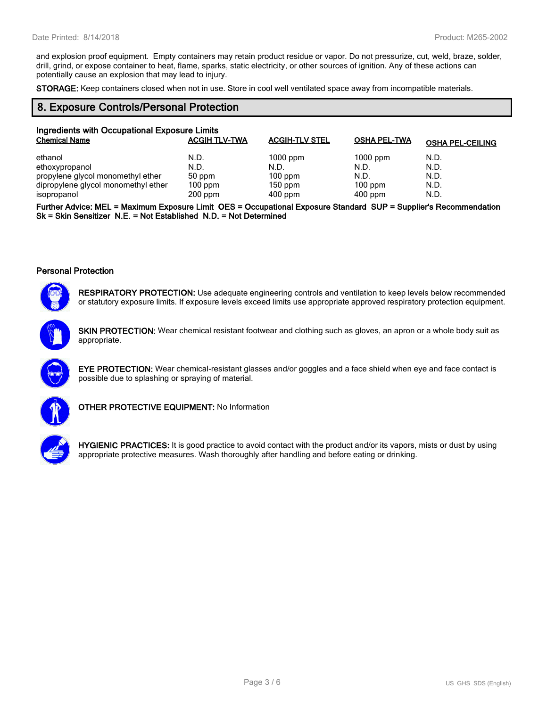and explosion proof equipment. Empty containers may retain product residue or vapor. Do not pressurize, cut, weld, braze, solder, drill, grind, or expose container to heat, flame, sparks, static electricity, or other sources of ignition. Any of these actions can potentially cause an explosion that may lead to injury.

STORAGE: Keep containers closed when not in use. Store in cool well ventilated space away from incompatible materials.

## 8. Exposure Controls/Personal Protection

| Ingredients with Occupational Exposure Limits |                      |                       |                     |                         |  |
|-----------------------------------------------|----------------------|-----------------------|---------------------|-------------------------|--|
| <b>Chemical Name</b>                          | <b>ACGIH TLV-TWA</b> | <b>ACGIH-TLV STEL</b> | <b>OSHA PEL-TWA</b> | <b>OSHA PEL-CEILING</b> |  |
| ethanol                                       | N.D.                 | $1000$ ppm            | $1000$ ppm          | N.D.                    |  |
| ethoxypropanol                                | N.D.                 | N.D.                  | N.D.                | N.D.                    |  |
| propylene glycol monomethyl ether             | 50 ppm               | $100$ ppm             | N.D.                | N.D.                    |  |
| dipropylene glycol monomethyl ether           | $100$ ppm            | $150$ ppm             | $100$ ppm           | N.D.                    |  |
| isopropanol                                   | $200$ ppm            | $400$ ppm             | $400$ ppm           | N.D.                    |  |

Further Advice: MEL = Maximum Exposure Limit OES = Occupational Exposure Standard SUP = Supplier's Recommendation Sk = Skin Sensitizer N.E. = Not Established N.D. = Not Determined

### Personal Protection



RESPIRATORY PROTECTION: Use adequate engineering controls and ventilation to keep levels below recommended or statutory exposure limits. If exposure levels exceed limits use appropriate approved respiratory protection equipment.



SKIN PROTECTION: Wear chemical resistant footwear and clothing such as gloves, an apron or a whole body suit as appropriate.



EYE PROTECTION: Wear chemical-resistant glasses and/or goggles and a face shield when eye and face contact is possible due to splashing or spraying of material.



OTHER PROTECTIVE EQUIPMENT: No Information



HYGIENIC PRACTICES: It is good practice to avoid contact with the product and/or its vapors, mists or dust by using appropriate protective measures. Wash thoroughly after handling and before eating or drinking.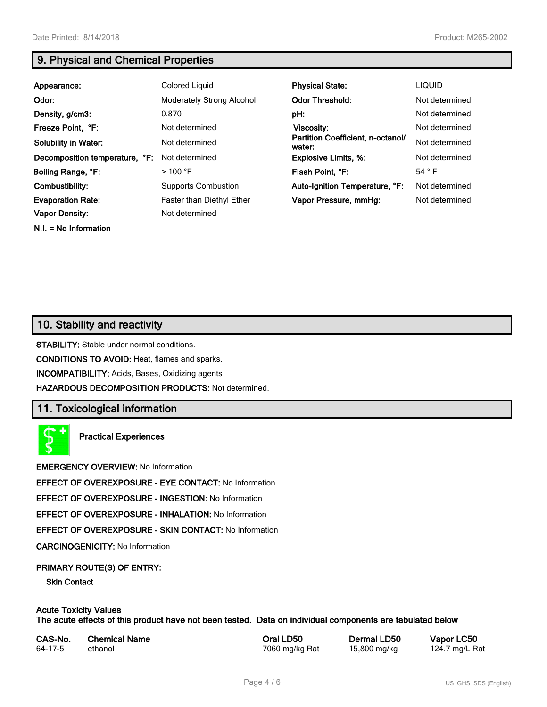N.I. = No Information

# 9. Physical and Chemical Properties

| Appearance:                    | Colored Liquid                   | <b>Physical State:</b>                      | <b>LIQUID</b>  |
|--------------------------------|----------------------------------|---------------------------------------------|----------------|
| Odor:                          | <b>Moderately Strong Alcohol</b> | <b>Odor Threshold:</b>                      | Not determined |
| Density, g/cm3:                | 0.870                            | pH:                                         | Not determined |
| Freeze Point, °F:              | Not determined                   | <b>Viscosity:</b>                           | Not determined |
| <b>Solubility in Water:</b>    | Not determined                   | Partition Coefficient, n-octanol/<br>water: | Not determined |
| Decomposition temperature, °F: | Not determined                   | <b>Explosive Limits, %:</b>                 | Not determined |
| Boiling Range, °F:             | $>100$ °F                        | Flash Point, °F:                            | 54 $\degree$ F |
| Combustibility:                | <b>Supports Combustion</b>       | Auto-Ignition Temperature, °F:              | Not determined |
| <b>Evaporation Rate:</b>       | <b>Faster than Diethyl Ether</b> | Vapor Pressure, mmHq:                       | Not determined |
| Vapor Density:                 | Not determined                   |                                             |                |

# 10. Stability and reactivity

STABILITY: Stable under normal conditions.

CONDITIONS TO AVOID: Heat, flames and sparks.

INCOMPATIBILITY: Acids, Bases, Oxidizing agents

HAZARDOUS DECOMPOSITION PRODUCTS: Not determined.

### 11. Toxicological information

Practical Experiences

EMERGENCY OVERVIEW: No Information

EFFECT OF OVEREXPOSURE - EYE CONTACT: No Information

EFFECT OF OVEREXPOSURE - INGESTION: No Information

EFFECT OF OVEREXPOSURE - INHALATION: No Information

EFFECT OF OVEREXPOSURE - SKIN CONTACT: No Information

CARCINOGENICITY: No Information

### PRIMARY ROUTE(S) OF ENTRY:

Skin Contact

### Acute Toxicity Values The acute effects of this product have not been tested. Data on individual components are tabulated below

| CAS-No. | <b>Chemical Name</b> |
|---------|----------------------|
| 64-17-5 | ethanol              |

7060 mg/kg Rat

**Oral LD50 Dermal LD50 Vapor LC50**<br>1960 mg/kg Rat 15,800 mg/kg 124.7 mg/L Rat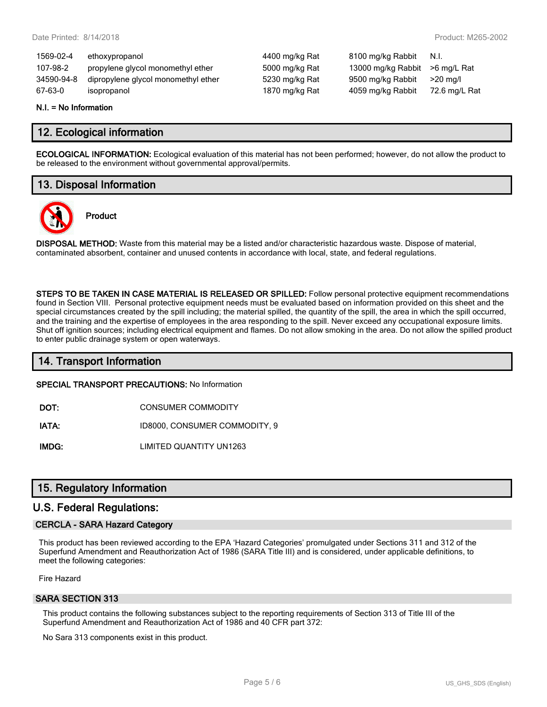| 1569-02-4  | ethoxypropanol                      | 4400 mg/kg Rat | 8100 mg/kg Rabbit  | N.I.          |
|------------|-------------------------------------|----------------|--------------------|---------------|
| 107-98-2   | propylene glycol monomethyl ether   | 5000 mg/kg Rat | 13000 mg/kg Rabbit | >6 mg/L Rat   |
| 34590-94-8 | dipropylene glycol monomethyl ether | 5230 mg/kg Rat | 9500 mg/kg Rabbit  | $>20$ mg/l    |
| 67-63-0    | isopropanol                         | 1870 mg/kg Rat | 4059 mg/kg Rabbit  | 72.6 mg/L Rat |
|            |                                     |                |                    |               |

### N.I. = No Information

## 12. Ecological information

ECOLOGICAL INFORMATION: Ecological evaluation of this material has not been performed; however, do not allow the product to be released to the environment without governmental approval/permits.

# 13. Disposal Information

Product



DISPOSAL METHOD: Waste from this material may be a listed and/or characteristic hazardous waste. Dispose of material, contaminated absorbent, container and unused contents in accordance with local, state, and federal regulations.

STEPS TO BE TAKEN IN CASE MATERIAL IS RELEASED OR SPILLED: Follow personal protective equipment recommendations found in Section VIII. Personal protective equipment needs must be evaluated based on information provided on this sheet and the special circumstances created by the spill including; the material spilled, the quantity of the spill, the area in which the spill occurred, and the training and the expertise of employees in the area responding to the spill. Never exceed any occupational exposure limits. Shut off ignition sources; including electrical equipment and flames. Do not allow smoking in the area. Do not allow the spilled product to enter public drainage system or open waterways.

### 14. Transport Information

SPECIAL TRANSPORT PRECAUTIONS: No Information

DOT: CONSUMER COMMODITY

IATA: ID8000, CONSUMER COMMODITY, 9

IMDG: LIMITED QUANTITY UN1263

# 15. Regulatory Information

### U.S. Federal Regulations:

### CERCLA - SARA Hazard Category

This product has been reviewed according to the EPA 'Hazard Categories' promulgated under Sections 311 and 312 of the Superfund Amendment and Reauthorization Act of 1986 (SARA Title III) and is considered, under applicable definitions, to meet the following categories:

Fire Hazard

### SARA SECTION 313

This product contains the following substances subject to the reporting requirements of Section 313 of Title III of the Superfund Amendment and Reauthorization Act of 1986 and 40 CFR part 372:

No Sara 313 components exist in this product.